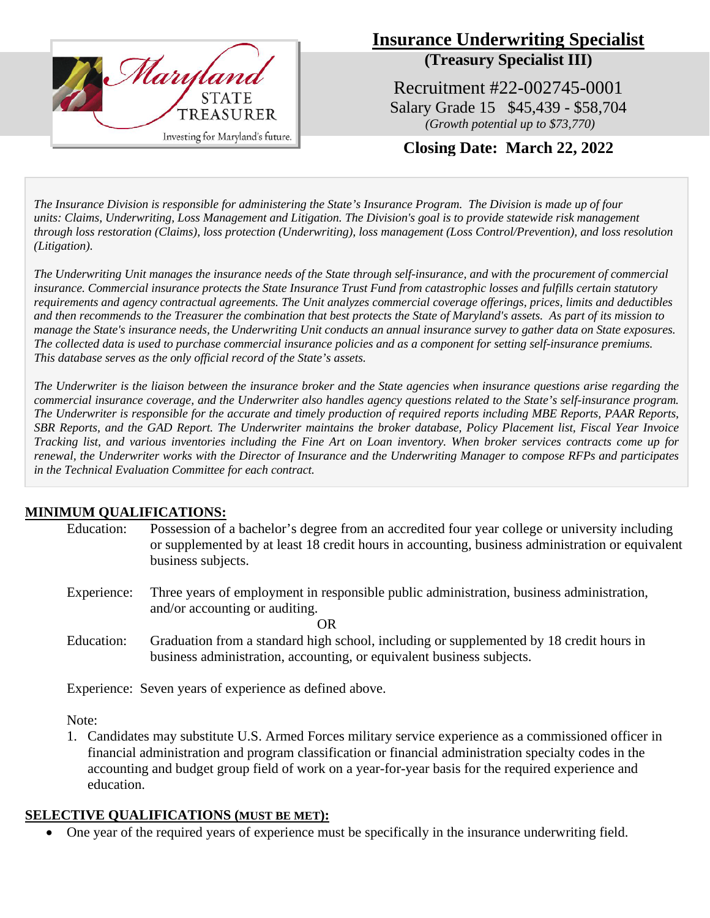

# **Insurance Underwriting Specialist (Treasury Specialist III)**

Recruitment #22-002745-0001 Salary Grade 15 \$45,439 - \$58,704 *(Growth potential up to \$73,770)*

**Closing Date: March 22, 2022**

*The Insurance Division is responsible for administering the State's Insurance Program. The Division is made up of four units: [Claims,](http://www.treasurer.state.md.us/insurance.aspx#Claims) [Underwriting,](http://www.treasurer.state.md.us/insurance.aspx#Underwriting) [Loss](http://www.treasurer.state.md.us/insurance.aspx#LossPrevention) Management and [Litigation.](http://www.treasurer.state.md.us/insurance.aspx#Litigation) The Division's goal is to provide statewide risk management through loss restoration (Claims), loss protection (Underwriting), loss management (Loss Control/Prevention), and loss resolution (Litigation).* 

*The Underwriting Unit manages the insurance needs of the State through self-insurance, and with the procurement of commercial insurance. Commercial insurance protects the State Insurance Trust Fund from catastrophic losses and fulfills certain statutory requirements and agency contractual agreements. The Unit analyzes commercial coverage offerings, prices, limits and deductibles and then recommends to the Treasurer the combination that best protects the State of Maryland's assets. As part of its mission to manage the State's insurance needs, the Underwriting Unit conducts an annual insurance survey to gather data on State exposures. The collected data is used to purchase commercial insurance policies and as a component for setting self-insurance premiums. This database serves as the only official record of the State's assets.* 

*The Underwriter is the liaison between the insurance broker and the State agencies when insurance questions arise regarding the commercial insurance coverage, and the Underwriter also handles agency questions related to the State's self-insurance program. The Underwriter is responsible for the accurate and timely production of required reports including MBE Reports, PAAR Reports, SBR Reports, and the GAD Report. The Underwriter maintains the broker database, Policy Placement list, Fiscal Year Invoice Tracking list, and various inventories including the Fine Art on Loan inventory. When broker services contracts come up for renewal, the Underwriter works with the Director of Insurance and the Underwriting Manager to compose RFPs and participates in the Technical Evaluation Committee for each contract.*

## **MINIMUM QUALIFICATIONS:**

| Education: | Possession of a bachelor's degree from an accredited four year college or university including   |
|------------|--------------------------------------------------------------------------------------------------|
|            | or supplemented by at least 18 credit hours in accounting, business administration or equivalent |
|            | business subjects.                                                                               |
|            |                                                                                                  |

- Experience: Three years of employment in responsible public administration, business administration, and/or accounting or auditing. OR
- Education: Graduation from a standard high school, including or supplemented by 18 credit hours in business administration, accounting, or equivalent business subjects.

Experience: Seven years of experience as defined above.

Note:

1. Candidates may substitute U.S. Armed Forces military service experience as a commissioned officer in financial administration and program classification or financial administration specialty codes in the accounting and budget group field of work on a year-for-year basis for the required experience and education.

## **SELECTIVE QUALIFICATIONS (MUST BE MET):**

• One year of the required years of experience must be specifically in the insurance underwriting field.